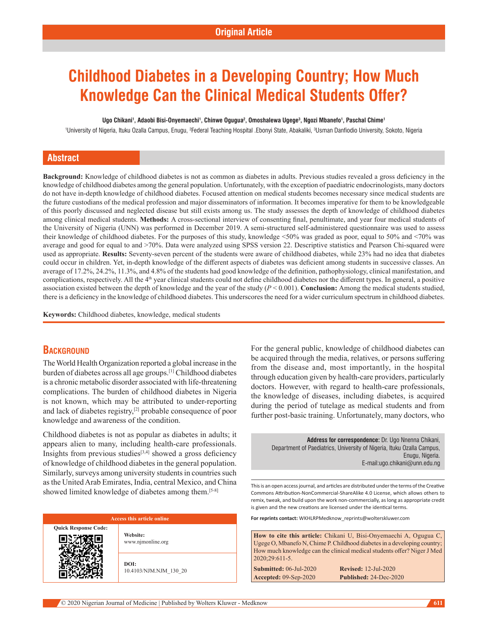# **Childhood Diabetes in a Developing Country; How Much Knowledge Can the Clinical Medical Students Offer?**

#### **Ugo Chikani1 , Adaobi Bisi-Onyemaechi1 , Chinwe Ogugua2 , Omoshalewa Ugege3 , Ngozi Mbanefo1 , Paschal Chime1**

1University of Nigeria, Ituku Ozalla Campus, Enugu, <sup>2</sup>Federal Teaching Hospital .Ebonyi State, Abakaliki, <sup>3</sup>Usman Danfiodio University, Sokoto, Nigeria

## **Abstract**

**Background:** Knowledge of childhood diabetes is not as common as diabetes in adults. Previous studies revealed a gross deficiency in the knowledge of childhood diabetes among the general population. Unfortunately, with the exception of paediatric endocrinologists, many doctors do not have in-depth knowledge of childhood diabetes. Focused attention on medical students becomes necessary since medical students are the future custodians of the medical profession and major disseminators of information. It becomes imperative for them to be knowledgeable of this poorly discussed and neglected disease but still exists among us. The study assesses the depth of knowledge of childhood diabetes among clinical medical students. Methods: A cross-sectional interview of consenting final, penultimate, and year four medical students of the University of Nigeria (UNN) was performed in December 2019. A semi-structured self-administered questionnaire was used to assess their knowledge of childhood diabetes. For the purposes of this study, knowledge <50% was graded as poor, equal to 50% and <70% was average and good for equal to and >70%. Data were analyzed using SPSS version 22. Descriptive statistics and Pearson Chi-squared were used as appropriate. Results: Seventy-seven percent of the students were aware of childhood diabetes, while 23% had no idea that diabetes could occur in children. Yet, in‑depth knowledge of the different aspects of diabetes was deficient among students in successive classes. An average of 17.2%, 24.2%, 11.3%, and 4.8% of the students had good knowledge of the definition, pathophysiology, clinical manifestation, and complications, respectively. All the 4<sup>th</sup> year clinical students could not define childhood diabetes nor the different types. In general, a positive association existed between the depth of knowledge and the year of the study (*P* < 0.001). **Conclusion:** Among the medical students studied, there is a deficiency in the knowledge of childhood diabetes. This underscores the need for a wider curriculum spectrum in childhood diabetes.

**Keywords:** Childhood diabetes, knowledge, medical students

# **BACKGROUND**

The World Health Organization reported a global increase in the burden of diabetes across all age groups.[1] Childhood diabetes is a chronic metabolic disorder associated with life-threatening complications. The burden of childhood diabetes in Nigeria is not known, which may be attributed to under-reporting and lack of diabetes registry,<sup>[2]</sup> probable consequence of poor knowledge and awareness of the condition.

Childhood diabetes is not as popular as diabetes in adults; it appears alien to many, including health-care professionals. Insights from previous studies $[3,4]$  showed a gross deficiency of knowledge of childhood diabetes in the general population. Similarly, surveys among university students in countries such as the United Arab Emirates, India, central Mexico, and China showed limited knowledge of diabetes among them.<sup>[5-8]</sup>

#### **Access this article online**

**Quick Response Code:**

**Website:** www.njmonline.org

**DOI:** 10.4103/NJM.NJM\_130\_20 For the general public, knowledge of childhood diabetes can be acquired through the media, relatives, or persons suffering from the disease and, most importantly, in the hospital through education given by health-care providers, particularly doctors. However, with regard to health-care professionals, the knowledge of diseases, including diabetes, is acquired during the period of tutelage as medical students and from further post-basic training. Unfortunately, many doctors, who

**Address for correspondence:** Dr. Ugo Nnenna Chikani, Department of Paediatrics, University of Nigeria, Ituku Ozalla Campus, Enugu, Nigeria. E-mail:ugo.chikani@unn.edu.ng

This is an open access journal, and articles are distributed under the terms of the Creative Commons Attribution‑NonCommercial‑ShareAlike 4.0 License, which allows others to remix, tweak, and build upon the work non‑commercially, as long as appropriate credit is given and the new creations are licensed under the identical terms.

**For reprints contact:** WKHLRPMedknow\_reprints@wolterskluwer.com

**How to cite this article:** Chikani U, Bisi-Onyemaechi A, Ogugua C, Ugege O, Mbanefo N, Chime P. Childhood diabetes in a developing country; How much knowledge can the clinical medical students offer? Niger J Med 2020;29:611-5. **Submitted:** 06-Jul-2020 **Revised:** 12-Jul-2020

**Accepted:** 09‑Sep‑2020 **Published:** 24-Dec-2020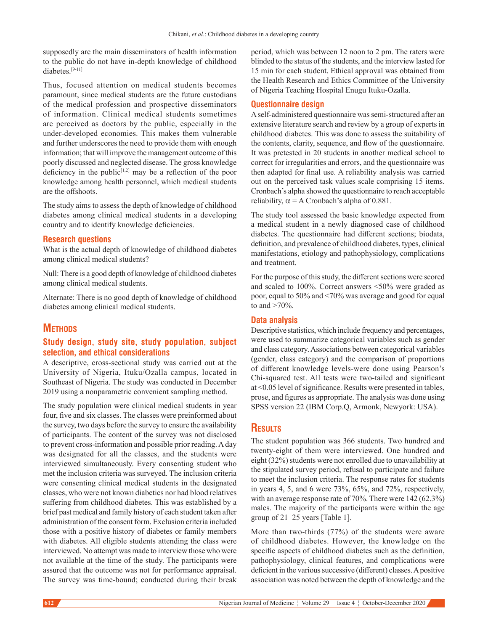supposedly are the main disseminators of health information to the public do not have in‑depth knowledge of childhood diabetes.[9-11]

Thus, focused attention on medical students becomes paramount, since medical students are the future custodians of the medical profession and prospective disseminators of information. Clinical medical students sometimes are perceived as doctors by the public, especially in the under‑developed economies. This makes them vulnerable and further underscores the need to provide them with enough information; that will improve the management outcome of this poorly discussed and neglected disease. The gross knowledge deficiency in the public<sup>[1,2]</sup> may be a reflection of the poor knowledge among health personnel, which medical students are the offshoots.

The study aims to assess the depth of knowledge of childhood diabetes among clinical medical students in a developing country and to identify knowledge deficiencies.

#### **Research questions**

What is the actual depth of knowledge of childhood diabetes among clinical medical students?

Null: There is a good depth of knowledge of childhood diabetes among clinical medical students.

Alternate: There is no good depth of knowledge of childhood diabetes among clinical medical students.

# **METHODS**

# **Study design, study site, study population, subject selection, and ethical considerations**

A descriptive, cross‑sectional study was carried out at the University of Nigeria, Ituku/Ozalla campus, located in Southeast of Nigeria. The study was conducted in December 2019 using a nonparametric convenient sampling method.

The study population were clinical medical students in year four, five and six classes. The classes were preinformed about the survey, two days before the survey to ensure the availability of participants. The content of the survey was not disclosed to prevent cross‑information and possible prior reading. Aday was designated for all the classes, and the students were interviewed simultaneously. Every consenting student who met the inclusion criteria was surveyed. The inclusion criteria were consenting clinical medical students in the designated classes, who were not known diabetics nor had blood relatives suffering from childhood diabetes. This was established by a brief past medical and family history of each student taken after administration of the consent form. Exclusion criteria included those with a positive history of diabetes or family members with diabetes. All eligible students attending the class were interviewed. No attempt was made to interview those who were not available at the time of the study. The participants were assured that the outcome was not for performance appraisal. The survey was time-bound; conducted during their break period, which was between 12 noon to 2 pm. The raters were blinded to the status of the students, and the interview lasted for 15 min for each student. Ethical approval was obtained from the Health Research and Ethics Committee of the University of Nigeria Teaching Hospital Enugu Ituku‑Ozalla.

#### **Questionnaire design**

A self‑administered questionnaire was semi‑structured after an extensive literature search and review by a group of experts in childhood diabetes. This was done to assess the suitability of the contents, clarity, sequence, and flow of the questionnaire. It was pretested in 20 students in another medical school to correct for irregularities and errors, and the questionnaire was then adapted for final use. A reliability analysis was carried out on the perceived task values scale comprising 15 items. Cronbach's alpha showed the questionnaire to reach acceptable reliability,  $\alpha = A$  Cronbach's alpha of 0.881.

The study tool assessed the basic knowledge expected from a medical student in a newly diagnosed case of childhood diabetes. The questionnaire had different sections; biodata, definition, and prevalence of childhood diabetes, types, clinical manifestations, etiology and pathophysiology, complications and treatment.

For the purpose of this study, the different sections were scored and scaled to 100%. Correct answers <50% were graded as poor, equal to 50% and <70% was average and good for equal to and  $>70\%$ .

## **Data analysis**

Descriptive statistics, which include frequency and percentages, were used to summarize categorical variables such as gender and class category. Associations between categorical variables (gender, class category) and the comparison of proportions of different knowledge levels‑were done using Pearson's Chi-squared test. All tests were two-tailed and significant at <0.05 level of significance. Results were presented in tables, prose, and figures as appropriate. The analysis was done using SPSS version 22 (IBM Corp.Q, Armonk, Newyork: USA).

# **Results**

The student population was 366 students. Two hundred and twenty-eight of them were interviewed. One hundred and eight (32%) students were not enrolled due to unavailability at the stipulated survey period, refusal to participate and failure to meet the inclusion criteria. The response rates for students in years 4, 5, and 6 were 73%, 65%, and 72%, respectively, with an average response rate of 70%. There were 142 (62.3%) males. The majority of the participants were within the age group of 21–25 years [Table 1].

More than two-thirds  $(77%)$  of the students were aware of childhood diabetes. However, the knowledge on the specific aspects of childhood diabetes such as the definition, pathophysiology, clinical features, and complications were deficient in the various successive (different) classes. Apositive association was noted between the depth of knowledge and the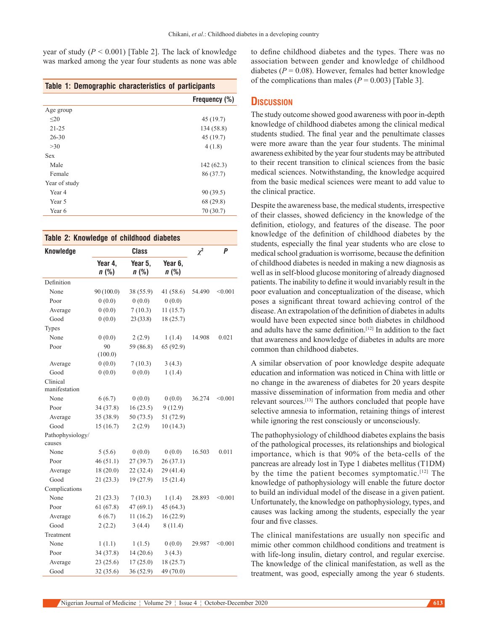year of study  $(P < 0.001)$  [Table 2]. The lack of knowledge was marked among the year four students as none was able

#### **Table 1: Demographic characteristics of participants**

|               | Frequency (%) |
|---------------|---------------|
| Age group     |               |
| $\leq 20$     | 45(19.7)      |
| $21 - 25$     | 134 (58.8)    |
| $26 - 30$     | 45 (19.7)     |
| >30           | 4(1.8)        |
| Sex           |               |
| Male          | 142(62.3)     |
| Female        | 86 (37.7)     |
| Year of study |               |
| Year 4        | 90 (39.5)     |
| Year 5        | 68 (29.8)     |
| Year 6        | 70 (30.7)     |
|               |               |

| <b>Knowledge</b>           | <b>Class</b>       |                    |                 | $\chi^2$ | P       |
|----------------------------|--------------------|--------------------|-----------------|----------|---------|
|                            | Year 4,<br>$n$ (%) | Year 5,<br>$n$ (%) | Year 6,<br>n(%) |          |         |
| Definition                 |                    |                    |                 |          |         |
| None                       | 90 (100.0)         | 38 (55.9)          | 41 $(58.6)$     | 54.490   | < 0.001 |
| Poor                       | 0(0.0)             | 0(0.0)             | 0(0.0)          |          |         |
| Average                    | 0(0.0)             | 7(10.3)            | 11(15.7)        |          |         |
| Good                       | 0(0.0)             | 23(33.8)           | 18 (25.7)       |          |         |
| <b>Types</b>               |                    |                    |                 |          |         |
| None                       | 0(0.0)             | 2(2.9)             | 1(1.4)          | 14.908   | 0.021   |
| Poor                       | 90<br>(100.0)      | 59 (86.8)          | 65 (92.9)       |          |         |
| Average                    | 0(0.0)             | 7(10.3)            | 3(4.3)          |          |         |
| Good                       | 0(0.0)             | 0(0.0)             | 1(1.4)          |          |         |
| Clinical<br>manifestation  |                    |                    |                 |          |         |
| None                       | 6(6.7)             | 0(0.0)             | 0(0.0)          | 36.274   | < 0.001 |
| Poor                       | 34 (37.8)          | 16(23.5)           | 9(12.9)         |          |         |
| Average                    | 35 (38.9)          | 50(73.5)           | 51 (72.9)       |          |         |
| Good                       | 15(16.7)           | 2(2.9)             | 10(14.3)        |          |         |
| Pathophysiology/<br>causes |                    |                    |                 |          |         |
| None                       | 5(5.6)             | 0(0.0)             | 0(0.0)          | 16.503   | 0.011   |
| Poor                       | 46(51.1)           | 27 (39.7)          | 26(37.1)        |          |         |
| Average                    | 18(20.0)           | 22 (32.4)          | 29 (41.4)       |          |         |
| Good                       | 21 (23.3)          | 19 (27.9)          | 15(21.4)        |          |         |
| Complications              |                    |                    |                 |          |         |
| None                       | 21(23.3)           | 7(10.3)            | 1(1.4)          | 28.893   | < 0.001 |
| Poor                       | 61(67.8)           | 47(69.1)           | 45 (64.3)       |          |         |
| Average                    | 6(6.7)             | 11(16.2)           | 16(22.9)        |          |         |
| Good                       | 2(2.2)             | 3(4.4)             | 8(11.4)         |          |         |
| Treatment                  |                    |                    |                 |          |         |
| None                       | 1(1.1)             | 1(1.5)             | 0(0.0)          | 29.987   | < 0.001 |
| Poor                       | 34 (37.8)          | 14(20.6)           | 3(4.3)          |          |         |
| Average                    | 23(25.6)           | 17(25.0)           | 18(25.7)        |          |         |
| Good                       | 32 (35.6)          | 36(52.9)           | 49 (70.0)       |          |         |

to define childhood diabetes and the types. There was no association between gender and knowledge of childhood diabetes ( $P = 0.08$ ). However, females had better knowledge of the complications than males  $(P = 0.003)$  [Table 3].

#### **Discussion**

The study outcome showed good awareness with poor in‑depth knowledge of childhood diabetes among the clinical medical students studied. The final year and the penultimate classes were more aware than the year four students. The minimal awareness exhibited by the year four students may be attributed to their recent transition to clinical sciences from the basic medical sciences. Notwithstanding, the knowledge acquired from the basic medical sciences were meant to add value to the clinical practice.

Despite the awareness base, the medical students, irrespective of their classes, showed deficiency in the knowledge of the definition, etiology, and features of the disease. The poor knowledge of the definition of childhood diabetes by the students, especially the final year students who are close to medical school graduation is worrisome, because the definition of childhood diabetes is needed in making a new diagnosis as well as in self-blood glucose monitoring of already diagnosed patients. The inability to define it would invariably result in the poor evaluation and conceptualization of the disease, which poses a significant threat toward achieving control of the disease. An extrapolation of the definition of diabetes in adults would have been expected since both diabetes in childhood and adults have the same definition.<sup>[12]</sup> In addition to the fact that awareness and knowledge of diabetes in adults are more common than childhood diabetes.

A similar observation of poor knowledge despite adequate education and information was noticed in China with little or no change in the awareness of diabetes for 20 years despite massive dissemination of information from media and other relevant sources.[13] The authors concluded that people have selective amnesia to information, retaining things of interest while ignoring the rest consciously or unconsciously.

The pathophysiology of childhood diabetes explains the basis of the pathological processes, its relationships and biological importance, which is that 90% of the beta-cells of the pancreas are already lost in Type 1 diabetes mellitus (T1DM) by the time the patient becomes symptomatic.[12] The knowledge of pathophysiology will enable the future doctor to build an individual model of the disease in a given patient. Unfortunately, the knowledge on pathophysiology, types, and causes was lacking among the students, especially the year four and five classes.

The clinical manifestations are usually non specific and mimic other common childhood conditions and treatment is with life-long insulin, dietary control, and regular exercise. The knowledge of the clinical manifestation, as well as the treatment, was good, especially among the year 6 students.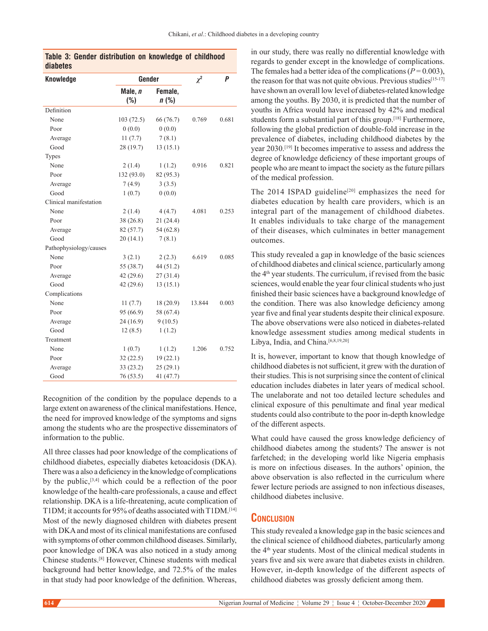| <b>Knowledge</b>       | Gender         | $\chi^2$           | P      |       |
|------------------------|----------------|--------------------|--------|-------|
|                        | Male, n<br>(%) | Female,<br>$n$ (%) |        |       |
| Definition             |                |                    |        |       |
| None                   | 103(72.5)      | 66 (76.7)          | 0.769  | 0.681 |
| Poor                   | 0(0.0)         | 0(0.0)             |        |       |
| Average                | 11(7.7)        | 7(8.1)             |        |       |
| Good                   | 28 (19.7)      | 13(15.1)           |        |       |
| Types                  |                |                    |        |       |
| None                   | 2(1.4)         | 1(1.2)             | 0.916  | 0.821 |
| Poor                   | 132 (93.0)     | 82 (95.3)          |        |       |
| Average                | 7(4.9)         | 3(3.5)             |        |       |
| Good                   | 1(0.7)         | 0(0.0)             |        |       |
| Clinical manifestation |                |                    |        |       |
| None                   | 2(1.4)         | 4(4.7)             | 4.081  | 0.253 |
| Poor                   | 38(26.8)       | 21 (24.4)          |        |       |
| Average                | 82 (57.7)      | 54 (62.8)          |        |       |
| Good                   | 20(14.1)       | 7(8.1)             |        |       |
| Pathophysiology/causes |                |                    |        |       |
| None                   | 3(2.1)         | 2(2.3)             | 6.619  | 0.085 |
| Poor                   | 55 (38.7)      | 44 (51.2)          |        |       |
| Average                | 42(29.6)       | 27(31.4)           |        |       |
| Good                   | 42(29.6)       | 13(15.1)           |        |       |
| Complications          |                |                    |        |       |
| None                   | 11(7.7)        | 18 (20.9)          | 13.844 | 0.003 |
| Poor                   | 95 (66.9)      | 58 (67.4)          |        |       |
| Average                | 24(16.9)       | 9(10.5)            |        |       |
| Good                   | 12(8.5)        | 1(1.2)             |        |       |
| Treatment              |                |                    |        |       |
| None                   | 1(0.7)         | 1(1.2)             | 1.206  | 0.752 |
| Poor                   | 32(22.5)       | 19(22.1)           |        |       |
| Average                | 33(23.2)       | 25(29.1)           |        |       |
| Good                   | 76 (53.5)      | 41 (47.7)          |        |       |

| diabetes |  | Table 3: Gender distribution on knowledge of childhood |  |  |
|----------|--|--------------------------------------------------------|--|--|
|          |  |                                                        |  |  |

Recognition of the condition by the populace depends to a large extent on awareness of the clinical manifestations. Hence, the need for improved knowledge of the symptoms and signs among the students who are the prospective disseminators of information to the public.

All three classes had poor knowledge of the complications of childhood diabetes, especially diabetes ketoacidosis (DKA). There was a also a deficiency in the knowledge of complications by the public,[3,4] which could be a reflection of the poor knowledge of the health-care professionals, a cause and effect relationship. DKA is a life-threatening, acute complication of T1DM; it accounts for 95% of deaths associated with T1DM.[14] Most of the newly diagnosed children with diabetes present with DKA and most of its clinical manifestations are confused with symptoms of other common childhood diseases. Similarly, poor knowledge of DKA was also noticed in a study among Chinese students.[8] However, Chinese students with medical background had better knowledge, and 72.5% of the males in that study had poor knowledge of the definition. Whereas,

in our study, there was really no differential knowledge with regards to gender except in the knowledge of complications. The females had a better idea of the complications ( $P = 0.003$ ), the reason for that was not quite obvious. Previous studies<sup>[15-17]</sup> have shown an overall low level of diabetes-related knowledge among the youths. By 2030, it is predicted that the number of youths in Africa would have increased by 42% and medical students form a substantial part of this group.[18] Furthermore, following the global prediction of double-fold increase in the prevalence of diabetes, including childhood diabetes by the year 2030.[19] It becomes imperative to assess and address the degree of knowledge deficiency of these important groups of people who are meant to impact the society as the future pillars of the medical profession.

The 2014 ISPAD guideline<sup>[20]</sup> emphasizes the need for diabetes education by health care providers, which is an integral part of the management of childhood diabetes. It enables individuals to take charge of the management of their diseases, which culminates in better management outcomes.

This study revealed a gap in knowledge of the basic sciences of childhood diabetes and clinical science, particularly among the 4th year students. The curriculum, if revised from the basic sciences, would enable the year four clinical students who just finished their basic sciences have a background knowledge of the condition. There was also knowledge deficiency among year five and final year students despite their clinical exposure. The above observations were also noticed in diabetes-related knowledge assessment studies among medical students in Libya, India, and China.<sup>[6,8,19,20]</sup>

It is, however, important to know that though knowledge of childhood diabetes is not sufficient, it grew with the duration of their studies. This is not surprising since the content of clinical education includes diabetes in later years of medical school. The unelaborate and not too detailed lecture schedules and clinical exposure of this penultimate and final year medical students could also contribute to the poor in‑depth knowledge of the different aspects.

What could have caused the gross knowledge deficiency of childhood diabetes among the students? The answer is not farfetched; in the developing world like Nigeria emphasis is more on infectious diseases. In the authors' opinion, the above observation is also reflected in the curriculum where fewer lecture periods are assigned to non infectious diseases, childhood diabetes inclusive.

# **Conclusion**

This study revealed a knowledge gap in the basic sciences and the clinical science of childhood diabetes, particularly among the 4<sup>th</sup> year students. Most of the clinical medical students in years five and six were aware that diabetes exists in children. However, in‑depth knowledge of the different aspects of childhood diabetes was grossly deficient among them.